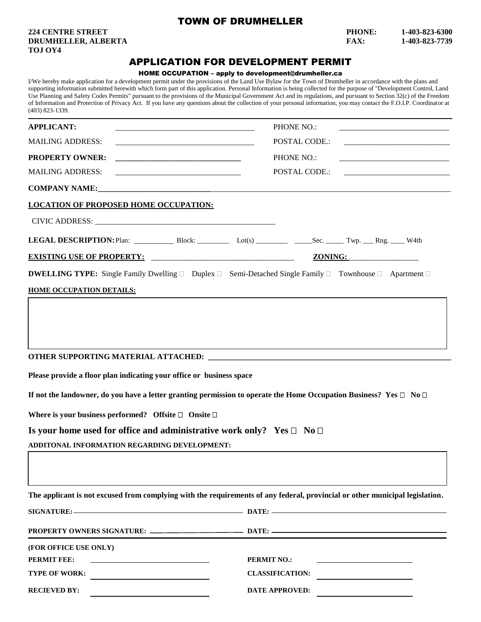## TOWN OF DRUMHELLER

**TOJ OY4**

## **224 CENTRE STREET PHONE: 1-403-823-6300 DRUMHELLER, ALBERTA FAX: 1-403-823-7739**

## APPLICATION FOR DEVELOPMENT PERMIT

## HOME OCCUPATION – apply to development@drumheller.ca

I/We hereby make application for a development permit under the provisions of the Land Use Bylaw for the Town of Drumheller in accordance with the plans and supporting information submitted herewith which form part of this application. Personal Information is being collected for the purpose of "Development Control, Land Use Planning and Safety Codes Permits" pursuant to the provisions of the Municipal Government Act and its regulations, and pursuant to Section 32(c) of the Freedom of Information and Protection of Privacy Act. If you have any questions about the collection of your personal information, you may contact the F.O.I.P. Coordinator at (403) 823-1339.

| <b>APPLICANT:</b>                                                                 | PHONE NO.:<br><u> 1980 - John Stein, Amerikaansk politiker (* 1900)</u>                                                                |
|-----------------------------------------------------------------------------------|----------------------------------------------------------------------------------------------------------------------------------------|
| <b>MAILING ADDRESS:</b>                                                           | POSTAL CODE.:                                                                                                                          |
| <b>PROPERTY OWNER:</b>                                                            | PHONE NO.:                                                                                                                             |
| <b>MAILING ADDRESS:</b>                                                           | POSTAL CODE.:                                                                                                                          |
|                                                                                   |                                                                                                                                        |
| <b>LOCATION OF PROPOSED HOME OCCUPATION:</b>                                      |                                                                                                                                        |
|                                                                                   |                                                                                                                                        |
|                                                                                   | LEGAL DESCRIPTION: Plan: Block: Let(s) _________ Sec. _____ Twp. __Rng. ____ W4th                                                      |
| <b>EXISTING USE OF PROPERTY:</b>                                                  | ZONING:                                                                                                                                |
|                                                                                   | <b>DWELLING TYPE:</b> Single Family Dwelling $\Box$ Duplex $\Box$ Semi-Detached Single Family $\Box$ Townhouse $\Box$ Apartment $\Box$ |
| <b>HOME OCCUPATION DETAILS:</b>                                                   |                                                                                                                                        |
|                                                                                   |                                                                                                                                        |
| Please provide a floor plan indicating your office or business space              | If not the landowner, do you have a letter granting permission to operate the Home Occupation Business? Yes $\Box$ No $\Box$           |
| Where is your business performed? Offsite $\Box$ Onsite $\Box$                    |                                                                                                                                        |
| Is your home used for office and administrative work only? Yes $\Box$ No $\Box$   |                                                                                                                                        |
| ADDITONAL INFORMATION REGARDING DEVELOPMENT:                                      |                                                                                                                                        |
|                                                                                   |                                                                                                                                        |
|                                                                                   | The applicant is not excused from complying with the requirements of any federal, provincial or other municipal legislation.           |
|                                                                                   |                                                                                                                                        |
|                                                                                   |                                                                                                                                        |
| (FOR OFFICE USE ONLY)                                                             |                                                                                                                                        |
| <b>PERMIT FEE:</b><br>the control of the control of the control of the control of | <b>PERMIT NO.:</b>                                                                                                                     |
| <b>TYPE OF WORK:</b><br><u> 1989 - Andrea Station Barbara, amerikan per</u>       | <b>CLASSIFICATION:</b>                                                                                                                 |
| <b>RECIEVED BY:</b>                                                               | <b>DATE APPROVED:</b>                                                                                                                  |